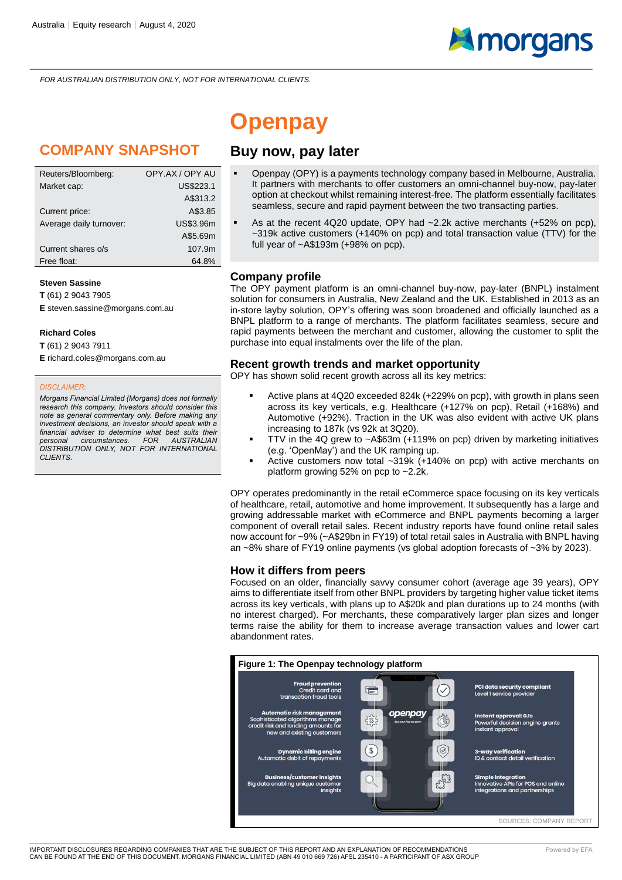*FOR AUSTRALIAN DISTRIBUTION ONLY, NOT FOR INTERNATIONAL CLIENTS.*

### **COMPANY SNAPSHOT**

| Reuters/Bloomberg:      | OPY.AX / OPY AU  |
|-------------------------|------------------|
| Market cap:             | US\$223.1        |
|                         | A\$313.2         |
| Current price:          | A\$3.85          |
| Average daily turnover: | <b>US\$3.96m</b> |
|                         | A\$5.69m         |
| Current shares o/s      | 107.9m           |
| Free float:             | 64.8%            |

#### **Steven Sassine**

**T** (61) 2 9043 7905 **E** steven.sassine@morgans.com.au

#### **Richard Coles**

**T** (61) 2 9043 7911 **E** richard.coles@morgans.com.au

#### *DISCLAIMER:*

*Morgans Financial Limited (Morgans) does not formally research this company. Investors should consider this note as general commentary only. Before making any investment decisions, an investor should speak with a financial adviser to determine what best suits their*   $personal$  *circumstances. DISTRIBUTION ONLY, NOT FOR INTERNATIONAL CLIENTS.*

### **Openpay**

#### **Buy now, pay later**

- Openpay (OPY) is a payments technology company based in Melbourne, Australia. It partners with merchants to offer customers an omni-channel buy-now, pay-later option at checkout whilst remaining interest-free. The platform essentially facilitates seamless, secure and rapid payment between the two transacting parties.
- As at the recent 4Q20 update, OPY had  $\sim$  2.2k active merchants (+52% on pcp), ~319k active customers (+140% on pcp) and total transaction value (TTV) for the full year of ~A\$193m (+98% on pcp).

#### **Company profile**

The OPY payment platform is an omni-channel buy-now, pay-later (BNPL) instalment solution for consumers in Australia, New Zealand and the UK. Established in 2013 as an in-store layby solution, OPY's offering was soon broadened and officially launched as a BNPL platform to a range of merchants. The platform facilitates seamless, secure and rapid payments between the merchant and customer, allowing the customer to split the purchase into equal instalments over the life of the plan.

#### **Recent growth trends and market opportunity**

OPY has shown solid recent growth across all its key metrics:

- Active plans at 4Q20 exceeded 824k (+229% on pcp), with growth in plans seen across its key verticals, e.g. Healthcare (+127% on pcp), Retail (+168%) and Automotive (+92%). Traction in the UK was also evident with active UK plans increasing to 187k (vs 92k at 3Q20).
- TTV in the 4Q grew to  $\sim$  A\$63m (+119% on pcp) driven by marketing initiatives (e.g. 'OpenMay') and the UK ramping up.
- Active customers now total  $~219k$  (+140% on pcp) with active merchants on platform growing 52% on pcp to ~2.2k.

OPY operates predominantly in the retail eCommerce space focusing on its key verticals of healthcare, retail, automotive and home improvement. It subsequently has a large and growing addressable market with eCommerce and BNPL payments becoming a larger component of overall retail sales. Recent industry reports have found online retail sales now account for ~9% (~A\$29bn in FY19) of total retail sales in Australia with BNPL having an ~8% share of FY19 online payments (vs global adoption forecasts of ~3% by 2023).

#### **How it differs from peers**

Focused on an older, financially savvy consumer cohort (average age 39 years), OPY aims to differentiate itself from other BNPL providers by targeting higher value ticket items across its key verticals, with plans up to A\$20k and plan durations up to 24 months (with no interest charged). For merchants, these comparatively larger plan sizes and longer terms raise the ability for them to increase average transaction values and lower cart abandonment rates.

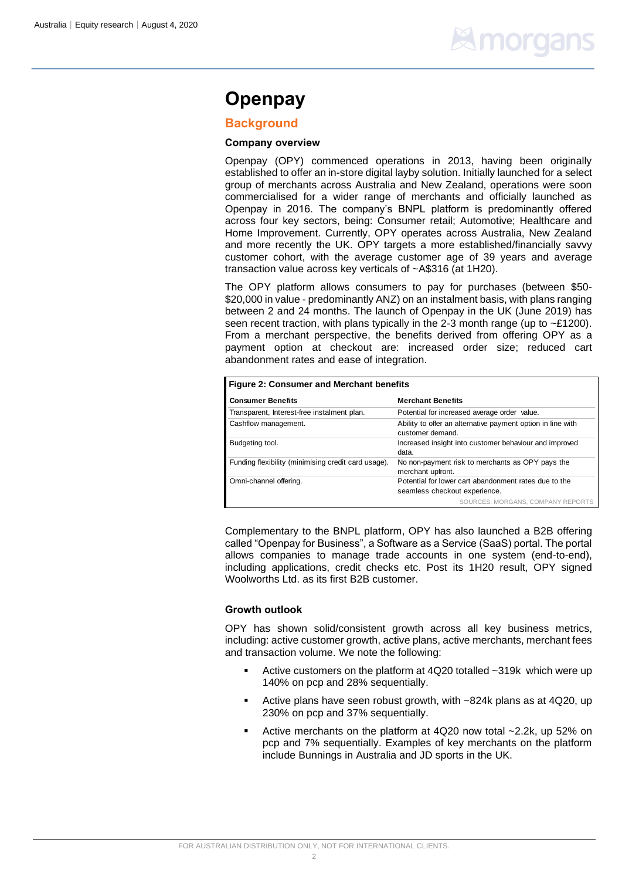## **Elmorgan**

### **Openpay**

#### **Background**

#### **Company overview**

Openpay (OPY) commenced operations in 2013, having been originally established to offer an in-store digital layby solution. Initially launched for a select group of merchants across Australia and New Zealand, operations were soon commercialised for a wider range of merchants and officially launched as Openpay in 2016. The company's BNPL platform is predominantly offered across four key sectors, being: Consumer retail; Automotive; Healthcare and Home Improvement. Currently, OPY operates across Australia, New Zealand and more recently the UK. OPY targets a more established/financially savvy customer cohort, with the average customer age of 39 years and average transaction value across key verticals of ~A\$316 (at 1H20).

The OPY platform allows consumers to pay for purchases (between \$50- \$20,000 in value - predominantly ANZ) on an instalment basis, with plans ranging between 2 and 24 months. The launch of Openpay in the UK (June 2019) has seen recent traction, with plans typically in the 2-3 month range (up to ~£1200). From a merchant perspective, the benefits derived from offering OPY as a payment option at checkout are: increased order size; reduced cart abandonment rates and ease of integration.

| <b>Figure 2: Consumer and Merchant benefits</b>     |                                                                                 |  |  |
|-----------------------------------------------------|---------------------------------------------------------------------------------|--|--|
| <b>Consumer Benefits</b>                            | <b>Merchant Benefits</b>                                                        |  |  |
| Transparent, Interest-free instalment plan.         | Potential for increased average order value.                                    |  |  |
| Cashflow management.                                | Ability to offer an alternative payment option in line with<br>customer demand. |  |  |
| Budgeting tool.                                     | Increased insight into customer behaviour and improved<br>data.                 |  |  |
| Funding flexibility (minimising credit card usage). | No non-payment risk to merchants as OPY pays the<br>merchant upfront.           |  |  |
| Omni-channel offering.                              | Potential for lower cart abandonment rates due to the                           |  |  |
|                                                     | seamless checkout experience.                                                   |  |  |
|                                                     | SOURCES: MORGANS, COMPANY REPORTS                                               |  |  |

Complementary to the BNPL platform, OPY has also launched a B2B offering called "Openpay for Business", a Software as a Service (SaaS) portal. The portal allows companies to manage trade accounts in one system (end-to-end), including applications, credit checks etc. Post its 1H20 result, OPY signed Woolworths Ltd. as its first B2B customer.

#### **Growth outlook**

OPY has shown solid/consistent growth across all key business metrics, including: active customer growth, active plans, active merchants, merchant fees and transaction volume. We note the following:

- Active customers on the platform at  $4Q20$  totalled  $\sim$ 319k which were up 140% on pcp and 28% sequentially.
- Active plans have seen robust growth, with ~824k plans as at 4Q20, up 230% on pcp and 37% sequentially.
- Active merchants on the platform at 4Q20 now total ~2.2k, up 52% on pcp and 7% sequentially. Examples of key merchants on the platform include Bunnings in Australia and JD sports in the UK.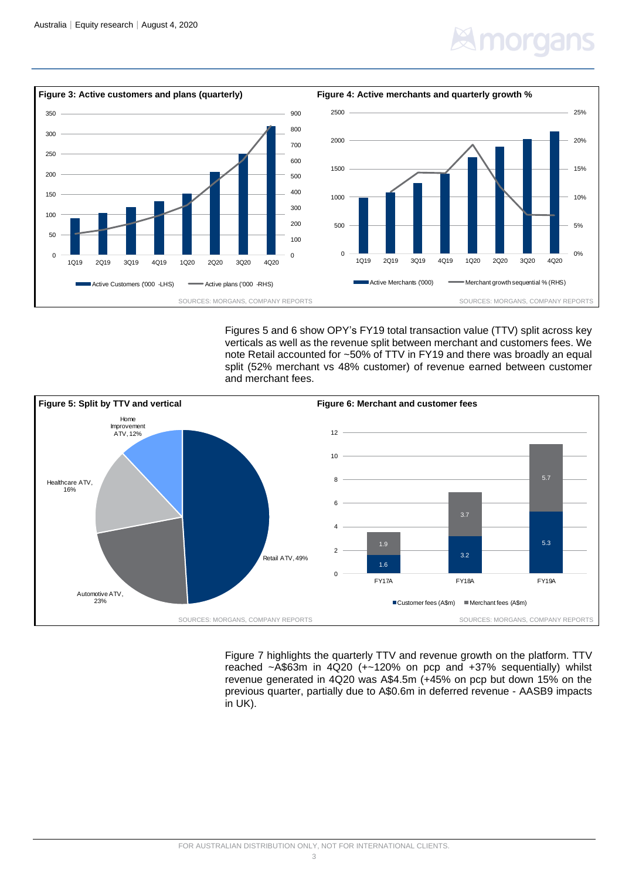### norgar



Figures 5 and 6 show OPY's FY19 total transaction value (TTV) split across key verticals as well as the revenue split between merchant and customers fees. We note Retail accounted for ~50% of TTV in FY19 and there was broadly an equal split (52% merchant vs 48% customer) of revenue earned between customer and merchant fees.



Figure 7 highlights the quarterly TTV and revenue growth on the platform. TTV reached ~A\$63m in 4Q20 (+~120% on pcp and +37% sequentially) whilst revenue generated in 4Q20 was A\$4.5m (+45% on pcp but down 15% on the previous quarter, partially due to A\$0.6m in deferred revenue - AASB9 impacts in UK).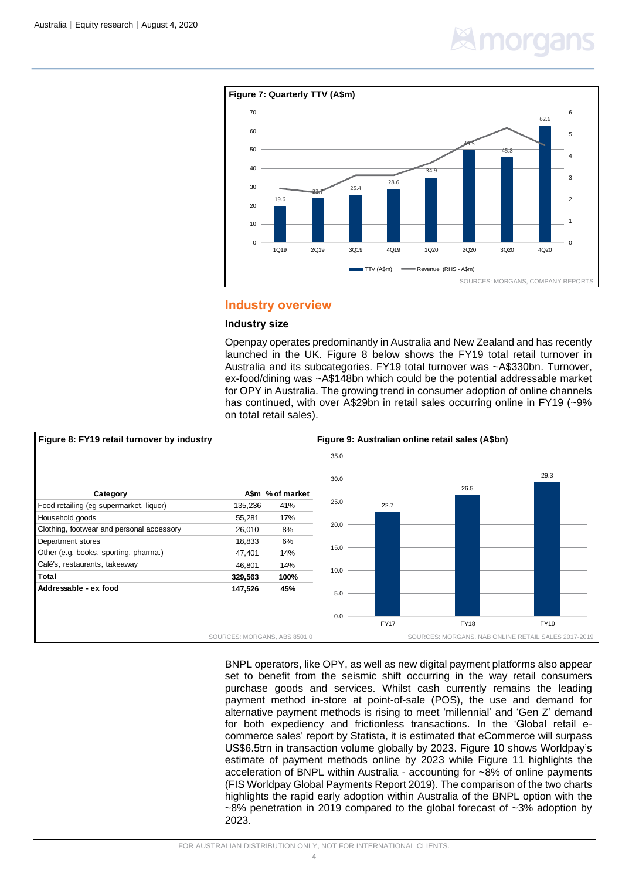## morgar



#### **Industry overview**

#### **Industry size**

Openpay operates predominantly in Australia and New Zealand and has recently launched in the UK. Figure 8 below shows the FY19 total retail turnover in Australia and its subcategories. FY19 total turnover was ~A\$330bn. Turnover, ex-food/dining was ~A\$148bn which could be the potential addressable market for OPY in Australia. The growing trend in consumer adoption of online channels has continued, with over A\$29bn in retail sales occurring online in FY19 (~9% on total retail sales).



BNPL operators, like OPY, as well as new digital payment platforms also appear set to benefit from the seismic shift occurring in the way retail consumers purchase goods and services. Whilst cash currently remains the leading payment method in-store at point-of-sale (POS), the use and demand for alternative payment methods is rising to meet 'millennial' and 'Gen Z' demand for both expediency and frictionless transactions. In the 'Global retail ecommerce sales' report by Statista, it is estimated that eCommerce will surpass US\$6.5trn in transaction volume globally by 2023. Figure 10 shows Worldpay's estimate of payment methods online by 2023 while Figure 11 highlights the acceleration of BNPL within Australia - accounting for ~8% of online payments (FIS Worldpay Global Payments Report 2019). The comparison of the two charts highlights the rapid early adoption within Australia of the BNPL option with the  $\sim$ 8% penetration in 2019 compared to the global forecast of  $\sim$ 3% adoption by 2023.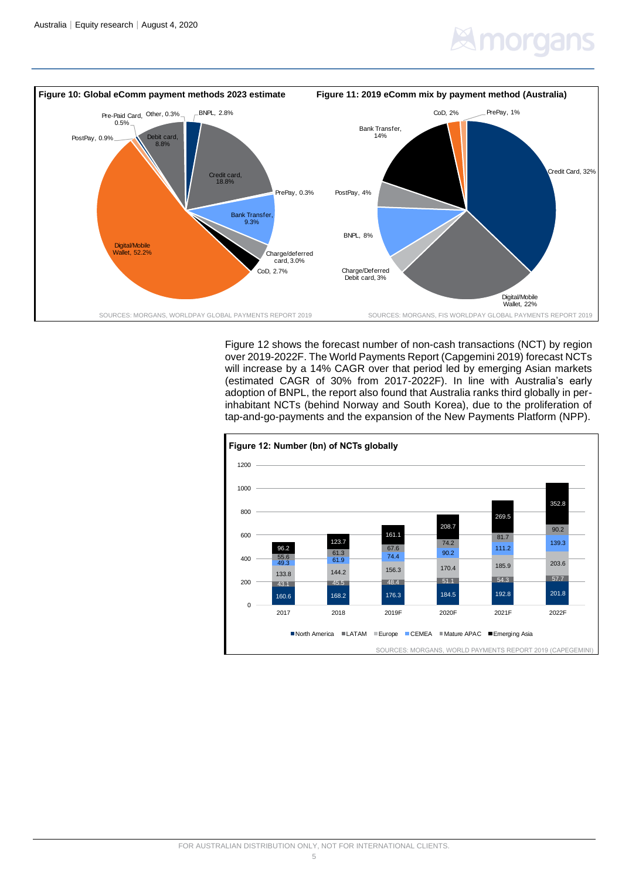## morgar



Figure 12 shows the forecast number of non-cash transactions (NCT) by region over 2019-2022F. The World Payments Report (Capgemini 2019) forecast NCTs will increase by a 14% CAGR over that period led by emerging Asian markets (estimated CAGR of 30% from 2017-2022F). In line with Australia's early adoption of BNPL, the report also found that Australia ranks third globally in perinhabitant NCTs (behind Norway and South Korea), due to the proliferation of tap-and-go-payments and the expansion of the New Payments Platform (NPP).

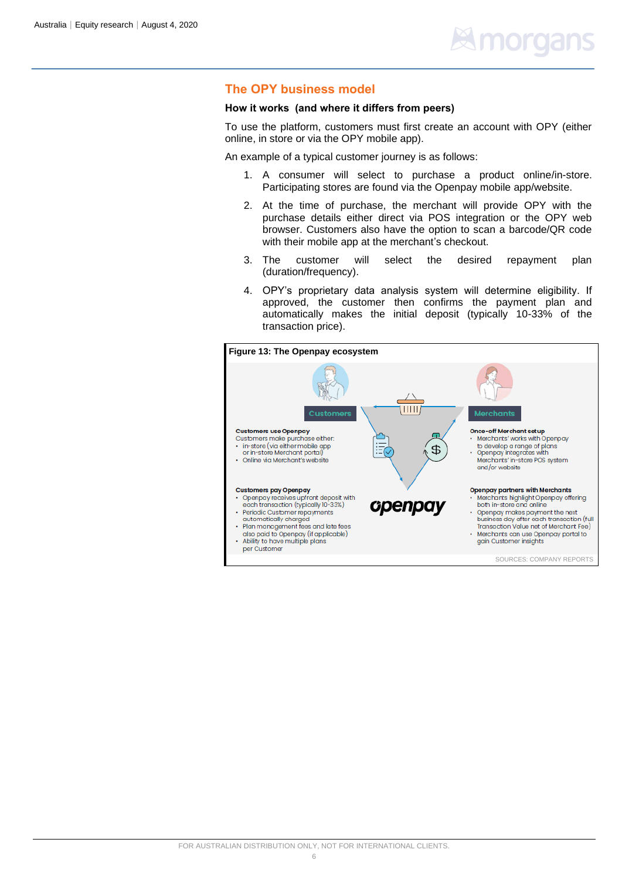#### **The OPY business model**

#### **How it works (and where it differs from peers)**

To use the platform, customers must first create an account with OPY (either online, in store or via the OPY mobile app).

An example of a typical customer journey is as follows:

- 1. A consumer will select to purchase a product online/in-store. Participating stores are found via the Openpay mobile app/website.
- 2. At the time of purchase, the merchant will provide OPY with the purchase details either direct via POS integration or the OPY web browser. Customers also have the option to scan a barcode/QR code with their mobile app at the merchant's checkout.
- 3. The customer will select the desired repayment plan (duration/frequency).
- 4. OPY's proprietary data analysis system will determine eligibility. If approved, the customer then confirms the payment plan and automatically makes the initial deposit (typically 10-33% of the transaction price).

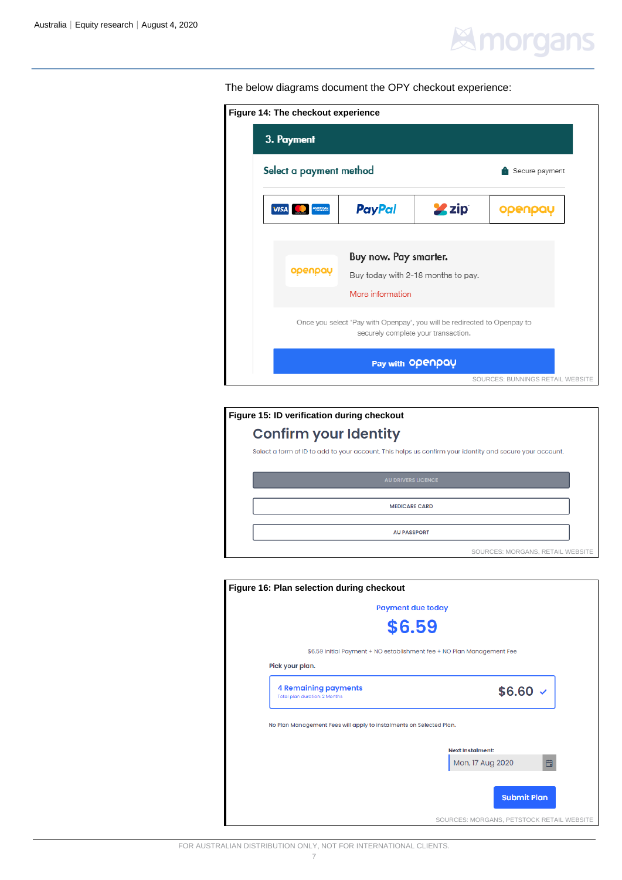## **Elmorgans**

The below diagrams document the OPY checkout experience:

| 3. Payment              |                                                                                                                 |              |                |
|-------------------------|-----------------------------------------------------------------------------------------------------------------|--------------|----------------|
| Select a payment method |                                                                                                                 |              | Secure payment |
| <b>VISA</b><br>AMERICAN | <b>PayPal</b>                                                                                                   | <b>2</b> zip |                |
|                         |                                                                                                                 |              |                |
|                         | Buy now. Pay smarter.                                                                                           |              |                |
| openpay                 | Buy today with 2-18 months to pay.                                                                              |              |                |
|                         | More information                                                                                                |              |                |
|                         | Once you select 'Pay with Openpay', you will be redirected to Openpay to<br>securely complete your transaction. |              |                |
|                         | Pay with Openpay                                                                                                |              |                |
|                         |                                                                                                                 |              |                |

| Figure 15: ID verification during checkout                                                               |  |
|----------------------------------------------------------------------------------------------------------|--|
| <b>Confirm your Identity</b>                                                                             |  |
| Select a form of ID to add to your account. This helps us confirm your identity and secure your account. |  |
| <b>AU DRIVERS LICENCE</b>                                                                                |  |
|                                                                                                          |  |
| <b>MEDICARE CARD</b>                                                                                     |  |
| <b>AU PASSPORT</b>                                                                                       |  |
| SOURCES: MORGANS, RETAIL WEBSITE                                                                         |  |

| Figure 16: Plan selection during checkout                           |                                                                        |
|---------------------------------------------------------------------|------------------------------------------------------------------------|
|                                                                     | <b>Payment due today</b>                                               |
|                                                                     | \$6.59                                                                 |
|                                                                     | \$6.59 Initial Payment + NO establishment fee + NO Plan Management Fee |
| Pick your plan.                                                     |                                                                        |
| <b>4 Remaining payments</b><br>Total plan duration: 2 Months        | $$6.60$ $\checkmark$                                                   |
| No Plan Management Fees will apply to instalments on Selected Plan. |                                                                        |
|                                                                     | <b>Next Instalment:</b>                                                |
|                                                                     | Mon, 17 Aug 2020<br>自                                                  |
|                                                                     | <b>Submit Plan</b>                                                     |
|                                                                     | SOURCES: MORGANS, PETSTOCK RETAIL WEBSITE                              |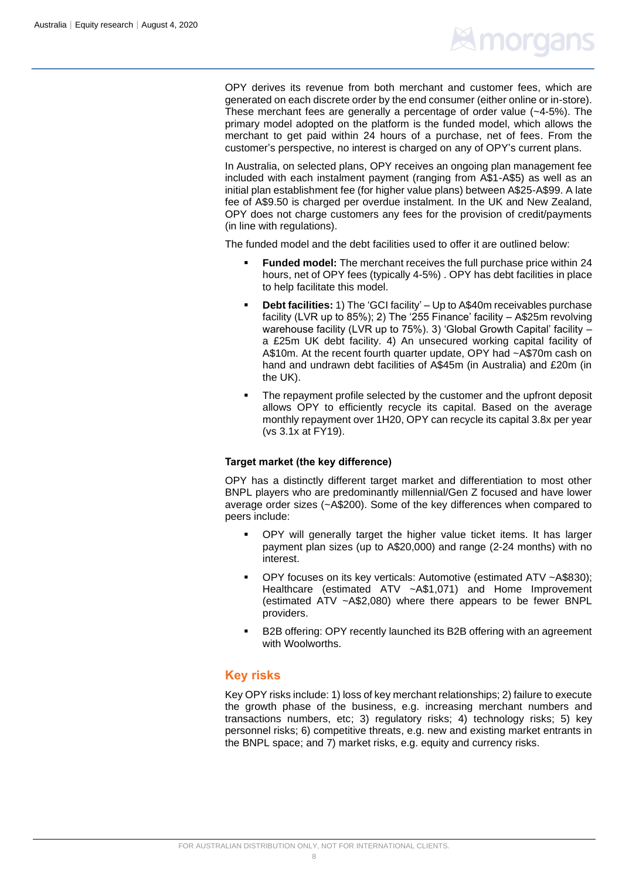### **Expression**

OPY derives its revenue from both merchant and customer fees, which are generated on each discrete order by the end consumer (either online or in-store). These merchant fees are generally a percentage of order value (~4-5%). The primary model adopted on the platform is the funded model, which allows the merchant to get paid within 24 hours of a purchase, net of fees. From the customer's perspective, no interest is charged on any of OPY's current plans.

In Australia, on selected plans, OPY receives an ongoing plan management fee included with each instalment payment (ranging from A\$1-A\$5) as well as an initial plan establishment fee (for higher value plans) between A\$25-A\$99. A late fee of A\$9.50 is charged per overdue instalment. In the UK and New Zealand, OPY does not charge customers any fees for the provision of credit/payments (in line with regulations).

The funded model and the debt facilities used to offer it are outlined below:

- **Funded model:** The merchant receives the full purchase price within 24 hours, net of OPY fees (typically 4-5%) . OPY has debt facilities in place to help facilitate this model.
- **Debt facilities:** 1) The 'GCI facility' Up to A\$40m receivables purchase facility (LVR up to 85%); 2) The '255 Finance' facility – A\$25m revolving warehouse facility (LVR up to 75%). 3) 'Global Growth Capital' facility – a £25m UK debt facility. 4) An unsecured working capital facility of A\$10m. At the recent fourth quarter update, OPY had ~A\$70m cash on hand and undrawn debt facilities of A\$45m (in Australia) and £20m (in the UK).
- The repayment profile selected by the customer and the upfront deposit allows OPY to efficiently recycle its capital. Based on the average monthly repayment over 1H20, OPY can recycle its capital 3.8x per year (vs 3.1x at FY19).

#### **Target market (the key difference)**

OPY has a distinctly different target market and differentiation to most other BNPL players who are predominantly millennial/Gen Z focused and have lower average order sizes (~A\$200). Some of the key differences when compared to peers include:

- OPY will generally target the higher value ticket items. It has larger payment plan sizes (up to A\$20,000) and range (2-24 months) with no interest.
- OPY focuses on its key verticals: Automotive (estimated ATV ~A\$830); Healthcare (estimated ATV ~A\$1,071) and Home Improvement (estimated ATV ~A\$2,080) where there appears to be fewer BNPL providers.
- B2B offering: OPY recently launched its B2B offering with an agreement with Woolworths.

#### **Key risks**

Key OPY risks include: 1) loss of key merchant relationships; 2) failure to execute the growth phase of the business, e.g. increasing merchant numbers and transactions numbers, etc; 3) regulatory risks; 4) technology risks; 5) key personnel risks; 6) competitive threats, e.g. new and existing market entrants in the BNPL space; and 7) market risks, e.g. equity and currency risks.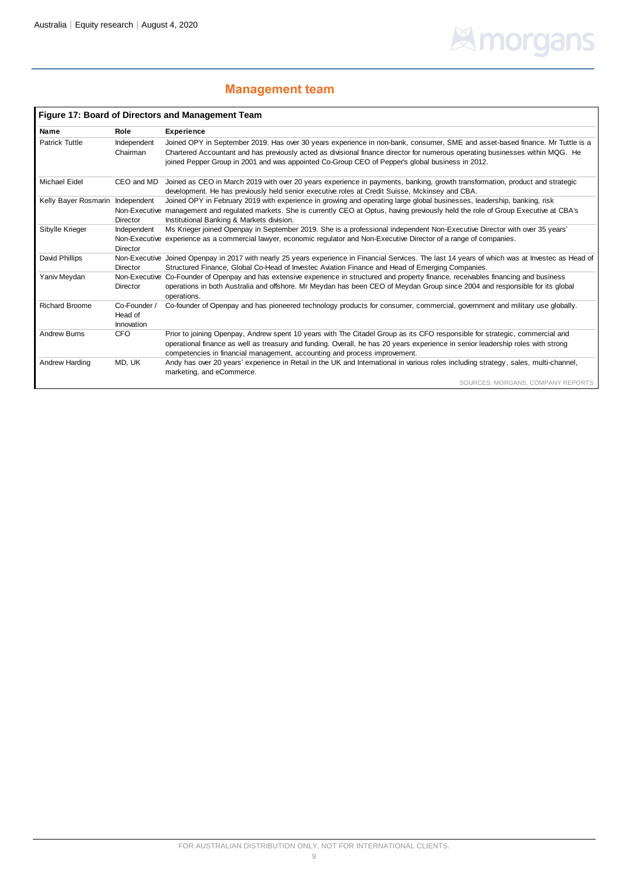# **Elmorgans**

### **Management team**

|                       |                                       | <b>Figure 17: Board of Directors and Management Team</b>                                                                                                                                                                                                                                                                                                          |
|-----------------------|---------------------------------------|-------------------------------------------------------------------------------------------------------------------------------------------------------------------------------------------------------------------------------------------------------------------------------------------------------------------------------------------------------------------|
| Name                  | Role                                  | <b>Experience</b>                                                                                                                                                                                                                                                                                                                                                 |
| <b>Patrick Tuttle</b> | Independent<br>Chairman               | Joined OPY in September 2019. Has over 30 years experience in non-bank, consumer, SME and asset-based finance. Mr Tuttle is a<br>Chartered Accountant and has previously acted as divisional finance director for numerous operating businesses within MQG. He<br>joined Pepper Group in 2001 and was appointed Co-Group CEO of Pepper's global business in 2012. |
| <b>Michael Eidel</b>  | CEO and MD                            | Joined as CEO in March 2019 with over 20 years experience in payments, banking, growth transformation, product and strategic<br>development. He has previously held senior executive roles at Credit Suisse, Mckinsey and CBA.                                                                                                                                    |
| Kelly Bayer Rosmarin  | Independent<br><b>Director</b>        | Joined OPY in February 2019 with experience in growing and operating large global businesses, leadership, banking, risk<br>Non-Executive management and regulated markets. She is currently CEO at Optus, having previously held the role of Group Executive at CBA's<br>Institutional Banking & Markets division.                                                |
| Sibylle Krieger       | Independent<br>Director               | Ms Krieger joined Openpay in September 2019. She is a professional independent Non-Executive Director with over 35 years'<br>Non-Executive experience as a commercial lawyer, economic regulator and Non-Executive Director of a range of companies.                                                                                                              |
| David Phillips        | <b>Director</b>                       | Non-Executive Joined Openpay in 2017 with nearly 25 years experience in Financial Services. The last 14 years of which was at Investec as Head of<br>Structured Finance, Global Co-Head of Investec Aviation Finance and Head of Emerging Companies.                                                                                                              |
| Yaniv Meydan          | <b>Director</b>                       | Non-Executive Co-Founder of Openpay and has extensive experience in structured and property finance, receivables financing and business<br>operations in both Australia and offshore. Mr Meydan has been CEO of Meydan Group since 2004 and responsible for its global<br>operations.                                                                             |
| <b>Richard Broome</b> | Co-Founder /<br>Head of<br>Innovation | Co-founder of Openpay and has pioneered technology products for consumer, commercial, government and military use globally.                                                                                                                                                                                                                                       |
| <b>Andrew Burns</b>   | <b>CFO</b>                            | Prior to joining Openpay, Andrew spent 10 years with The Citadel Group as its CFO responsible for strategic, commercial and                                                                                                                                                                                                                                       |
|                       |                                       | operational finance as well as treasury and funding. Overall, he has 20 years experience in senior leadership roles with strong<br>competencies in financial management, accounting and process improvement.                                                                                                                                                      |
| Andrew Harding        | MD, UK                                | Andy has over 20 years' experience in Retail in the UK and International in various roles including strategy, sales, multi-channel,<br>marketing, and eCommerce.                                                                                                                                                                                                  |
|                       |                                       | SOURCES: MORGANS, COMPANY REPORTS                                                                                                                                                                                                                                                                                                                                 |